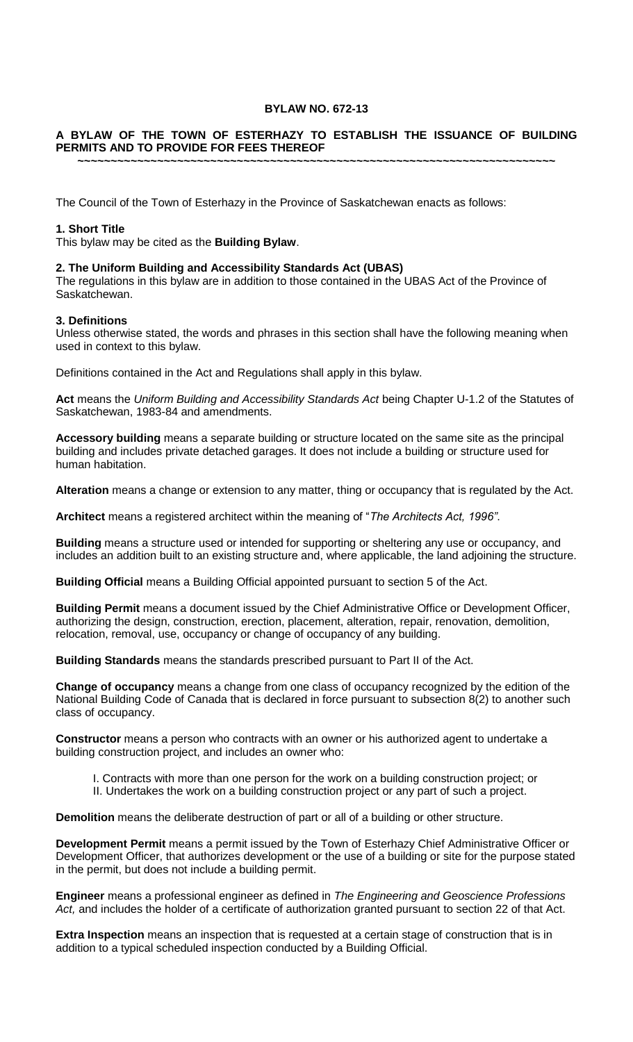## **BYLAW NO. 672-13**

#### **A BYLAW OF THE TOWN OF ESTERHAZY TO ESTABLISH THE ISSUANCE OF BUILDING PERMITS AND TO PROVIDE FOR FEES THEREOF**

**~~~~~~~~~~~~~~~~~~~~~~~~~~~~~~~~~~~~~~~~~~~~~~~~~~~~~~~~~~~~~~~~~~~~~~~~**

The Council of the Town of Esterhazy in the Province of Saskatchewan enacts as follows:

#### **1. Short Title**

This bylaw may be cited as the **Building Bylaw**.

#### **2. The Uniform Building and Accessibility Standards Act (UBAS)**

The regulations in this bylaw are in addition to those contained in the UBAS Act of the Province of Saskatchewan.

## **3. Definitions**

Unless otherwise stated, the words and phrases in this section shall have the following meaning when used in context to this bylaw.

Definitions contained in the Act and Regulations shall apply in this bylaw.

**Act** means the *Uniform Building and Accessibility Standards Act* being Chapter U-1.2 of the Statutes of Saskatchewan, 1983-84 and amendments.

**Accessory building** means a separate building or structure located on the same site as the principal building and includes private detached garages. It does not include a building or structure used for human habitation.

**Alteration** means a change or extension to any matter, thing or occupancy that is regulated by the Act.

**Architect** means a registered architect within the meaning of "*The Architects Act, 1996"*.

**Building** means a structure used or intended for supporting or sheltering any use or occupancy, and includes an addition built to an existing structure and, where applicable, the land adjoining the structure.

**Building Official** means a Building Official appointed pursuant to section 5 of the Act.

**Building Permit** means a document issued by the Chief Administrative Office or Development Officer, authorizing the design, construction, erection, placement, alteration, repair, renovation, demolition, relocation, removal, use, occupancy or change of occupancy of any building.

**Building Standards** means the standards prescribed pursuant to Part II of the Act.

**Change of occupancy** means a change from one class of occupancy recognized by the edition of the National Building Code of Canada that is declared in force pursuant to subsection 8(2) to another such class of occupancy.

**Constructor** means a person who contracts with an owner or his authorized agent to undertake a building construction project, and includes an owner who:

- I. Contracts with more than one person for the work on a building construction project; or
- II. Undertakes the work on a building construction project or any part of such a project.

**Demolition** means the deliberate destruction of part or all of a building or other structure.

**Development Permit** means a permit issued by the Town of Esterhazy Chief Administrative Officer or Development Officer, that authorizes development or the use of a building or site for the purpose stated in the permit, but does not include a building permit.

**Engineer** means a professional engineer as defined in *The Engineering and Geoscience Professions*  Act, and includes the holder of a certificate of authorization granted pursuant to section 22 of that Act.

**Extra Inspection** means an inspection that is requested at a certain stage of construction that is in addition to a typical scheduled inspection conducted by a Building Official.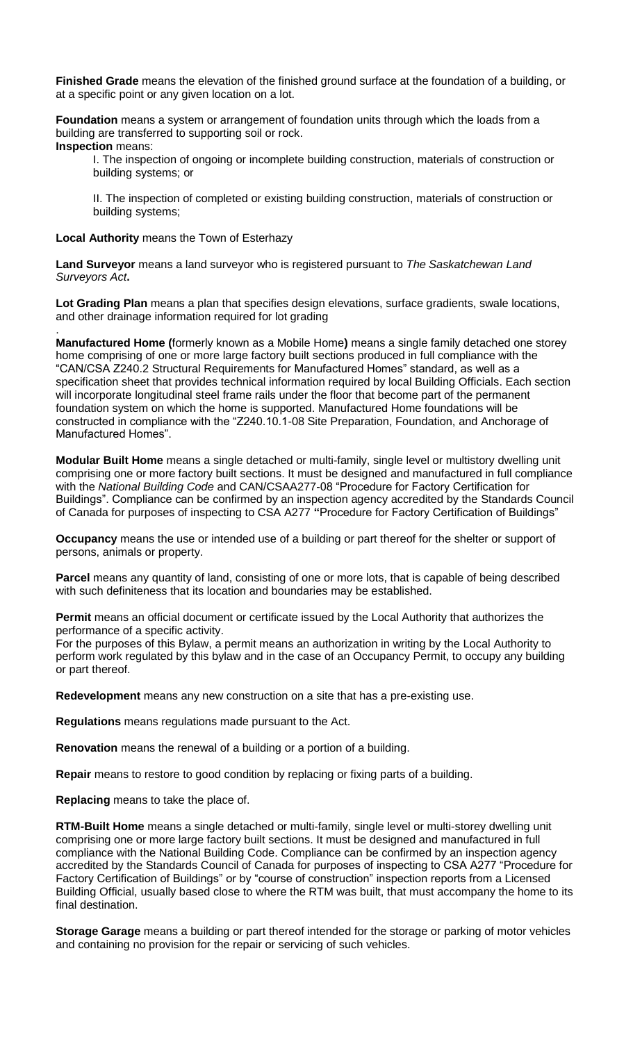**Finished Grade** means the elevation of the finished ground surface at the foundation of a building, or at a specific point or any given location on a lot.

**Foundation** means a system or arrangement of foundation units through which the loads from a building are transferred to supporting soil or rock. **Inspection** means:

I. The inspection of ongoing or incomplete building construction, materials of construction or building systems; or

II. The inspection of completed or existing building construction, materials of construction or building systems;

**Local Authority** means the Town of Esterhazy

.

**Land Surveyor** means a land surveyor who is registered pursuant to *The Saskatchewan Land Surveyors Act***.**

**Lot Grading Plan** means a plan that specifies design elevations, surface gradients, swale locations, and other drainage information required for lot grading

**Manufactured Home (**formerly known as a Mobile Home**)** means a single family detached one storey home comprising of one or more large factory built sections produced in full compliance with the "CAN/CSA Z240.2 Structural Requirements for Manufactured Homes" standard, as well as a specification sheet that provides technical information required by local Building Officials. Each section will incorporate longitudinal steel frame rails under the floor that become part of the permanent foundation system on which the home is supported. Manufactured Home foundations will be constructed in compliance with the "Z240.10.1-08 Site Preparation, Foundation, and Anchorage of Manufactured Homes".

**Modular Built Home** means a single detached or multi-family, single level or multistory dwelling unit comprising one or more factory built sections. It must be designed and manufactured in full compliance with the *National Building Code* and CAN/CSAA277-08 "Procedure for Factory Certification for Buildings". Compliance can be confirmed by an inspection agency accredited by the Standards Council of Canada for purposes of inspecting to CSA A277 **"**Procedure for Factory Certification of Buildings"

**Occupancy** means the use or intended use of a building or part thereof for the shelter or support of persons, animals or property.

Parcel means any quantity of land, consisting of one or more lots, that is capable of being described with such definiteness that its location and boundaries may be established.

**Permit** means an official document or certificate issued by the Local Authority that authorizes the performance of a specific activity.

For the purposes of this Bylaw, a permit means an authorization in writing by the Local Authority to perform work regulated by this bylaw and in the case of an Occupancy Permit, to occupy any building or part thereof.

**Redevelopment** means any new construction on a site that has a pre-existing use.

**Regulations** means regulations made pursuant to the Act.

**Renovation** means the renewal of a building or a portion of a building.

**Repair** means to restore to good condition by replacing or fixing parts of a building.

**Replacing** means to take the place of.

**RTM-Built Home** means a single detached or multi-family, single level or multi-storey dwelling unit comprising one or more large factory built sections. It must be designed and manufactured in full compliance with the National Building Code. Compliance can be confirmed by an inspection agency accredited by the Standards Council of Canada for purposes of inspecting to CSA A277 "Procedure for Factory Certification of Buildings" or by "course of construction" inspection reports from a Licensed Building Official, usually based close to where the RTM was built, that must accompany the home to its final destination.

**Storage Garage** means a building or part thereof intended for the storage or parking of motor vehicles and containing no provision for the repair or servicing of such vehicles.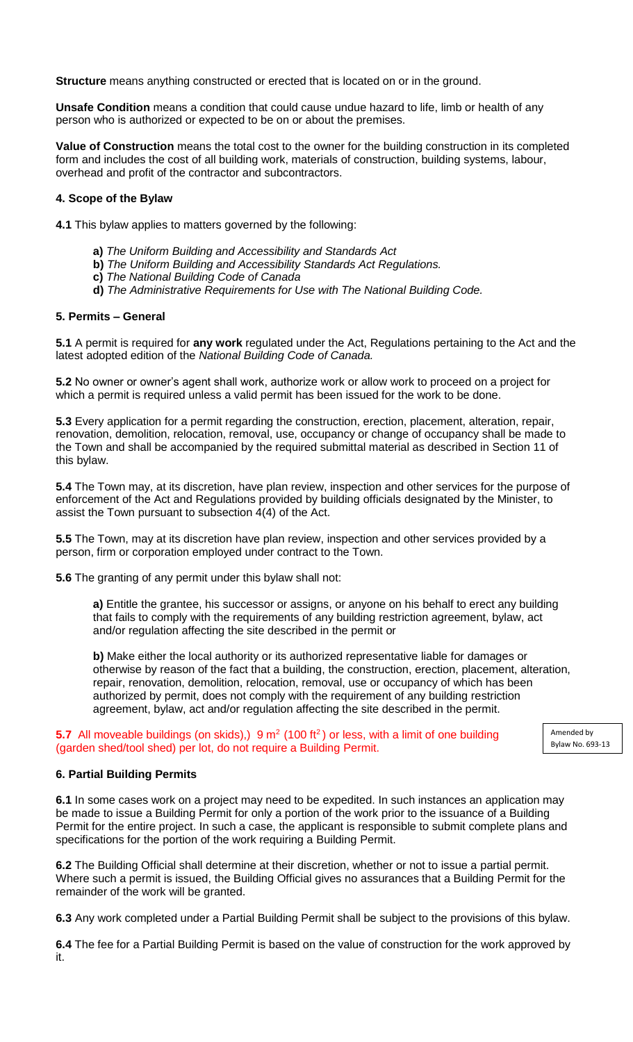**Structure** means anything constructed or erected that is located on or in the ground.

**Unsafe Condition** means a condition that could cause undue hazard to life, limb or health of any person who is authorized or expected to be on or about the premises.

**Value of Construction** means the total cost to the owner for the building construction in its completed form and includes the cost of all building work, materials of construction, building systems, labour, overhead and profit of the contractor and subcontractors.

## **4. Scope of the Bylaw**

**4.1** This bylaw applies to matters governed by the following:

- **a)** *The Uniform Building and Accessibility and Standards Act*
- **b)** *The Uniform Building and Accessibility Standards Act Regulations.*
- **c)** *The National Building Code of Canada*
- **d)** *The Administrative Requirements for Use with The National Building Code.*

## **5. Permits – General**

**5.1** A permit is required for **any work** regulated under the Act, Regulations pertaining to the Act and the latest adopted edition of the *National Building Code of Canada.*

**5.2** No owner or owner's agent shall work, authorize work or allow work to proceed on a project for which a permit is required unless a valid permit has been issued for the work to be done.

**5.3** Every application for a permit regarding the construction, erection, placement, alteration, repair, renovation, demolition, relocation, removal, use, occupancy or change of occupancy shall be made to the Town and shall be accompanied by the required submittal material as described in Section 11 of this bylaw.

**5.4** The Town may, at its discretion, have plan review, inspection and other services for the purpose of enforcement of the Act and Regulations provided by building officials designated by the Minister, to assist the Town pursuant to subsection 4(4) of the Act.

**5.5** The Town, may at its discretion have plan review, inspection and other services provided by a person, firm or corporation employed under contract to the Town.

**5.6** The granting of any permit under this bylaw shall not:

**a)** Entitle the grantee, his successor or assigns, or anyone on his behalf to erect any building that fails to comply with the requirements of any building restriction agreement, bylaw, act and/or regulation affecting the site described in the permit or

**b)** Make either the local authority or its authorized representative liable for damages or otherwise by reason of the fact that a building, the construction, erection, placement, alteration, repair, renovation, demolition, relocation, removal, use or occupancy of which has been authorized by permit, does not comply with the requirement of any building restriction agreement, bylaw, act and/or regulation affecting the site described in the permit.

> Amended by Bylaw No. 693-13

**5.7** All moveable buildings (on skids),) 9 m<sup>2</sup> (100 ft<sup>2</sup>) or less, with a limit of one building (garden shed/tool shed) per lot, do not require a Building Permit.

# **6. Partial Building Permits**

**6.1** In some cases work on a project may need to be expedited. In such instances an application may be made to issue a Building Permit for only a portion of the work prior to the issuance of a Building Permit for the entire project. In such a case, the applicant is responsible to submit complete plans and specifications for the portion of the work requiring a Building Permit.

**6.2** The Building Official shall determine at their discretion, whether or not to issue a partial permit. Where such a permit is issued, the Building Official gives no assurances that a Building Permit for the remainder of the work will be granted.

**6.3** Any work completed under a Partial Building Permit shall be subject to the provisions of this bylaw.

**6.4** The fee for a Partial Building Permit is based on the value of construction for the work approved by it.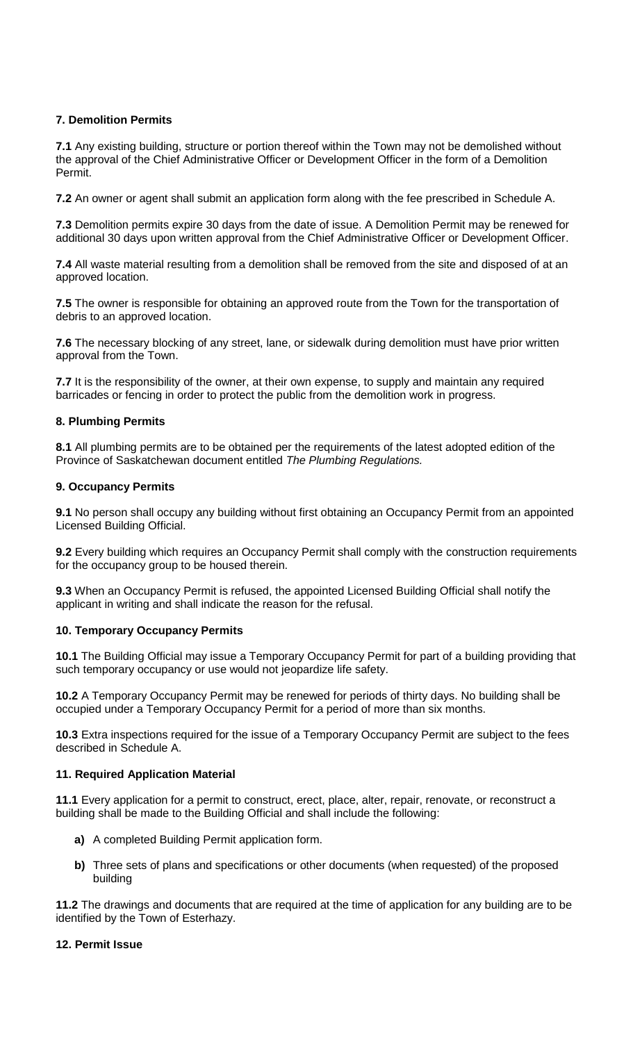## **7. Demolition Permits**

**7.1** Any existing building, structure or portion thereof within the Town may not be demolished without the approval of the Chief Administrative Officer or Development Officer in the form of a Demolition Permit.

**7.2** An owner or agent shall submit an application form along with the fee prescribed in Schedule A.

**7.3** Demolition permits expire 30 days from the date of issue. A Demolition Permit may be renewed for additional 30 days upon written approval from the Chief Administrative Officer or Development Officer.

**7.4** All waste material resulting from a demolition shall be removed from the site and disposed of at an approved location.

**7.5** The owner is responsible for obtaining an approved route from the Town for the transportation of debris to an approved location.

**7.6** The necessary blocking of any street, lane, or sidewalk during demolition must have prior written approval from the Town.

**7.7** It is the responsibility of the owner, at their own expense, to supply and maintain any required barricades or fencing in order to protect the public from the demolition work in progress.

## **8. Plumbing Permits**

**8.1** All plumbing permits are to be obtained per the requirements of the latest adopted edition of the Province of Saskatchewan document entitled *The Plumbing Regulations.*

## **9. Occupancy Permits**

**9.1** No person shall occupy any building without first obtaining an Occupancy Permit from an appointed Licensed Building Official.

**9.2** Every building which requires an Occupancy Permit shall comply with the construction requirements for the occupancy group to be housed therein.

**9.3** When an Occupancy Permit is refused, the appointed Licensed Building Official shall notify the applicant in writing and shall indicate the reason for the refusal.

#### **10. Temporary Occupancy Permits**

**10.1** The Building Official may issue a Temporary Occupancy Permit for part of a building providing that such temporary occupancy or use would not jeopardize life safety.

**10.2** A Temporary Occupancy Permit may be renewed for periods of thirty days. No building shall be occupied under a Temporary Occupancy Permit for a period of more than six months.

**10.3** Extra inspections required for the issue of a Temporary Occupancy Permit are subject to the fees described in Schedule A.

## **11. Required Application Material**

**11.1** Every application for a permit to construct, erect, place, alter, repair, renovate, or reconstruct a building shall be made to the Building Official and shall include the following:

- **a)** A completed Building Permit application form.
- **b)** Three sets of plans and specifications or other documents (when requested) of the proposed building

**11.2** The drawings and documents that are required at the time of application for any building are to be identified by the Town of Esterhazy.

#### **12. Permit Issue**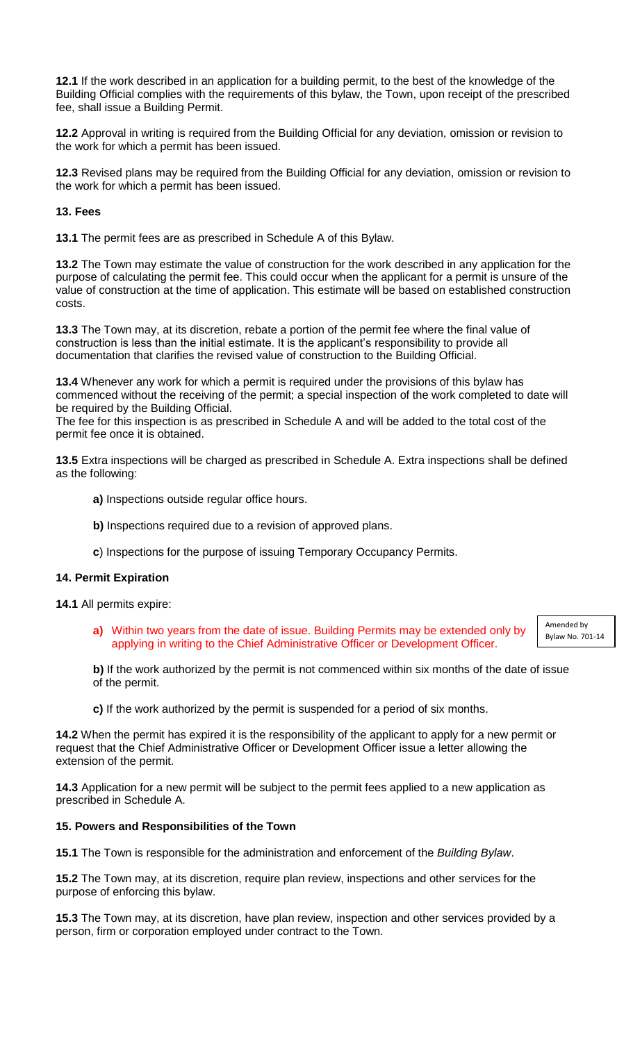**12.1** If the work described in an application for a building permit, to the best of the knowledge of the Building Official complies with the requirements of this bylaw, the Town, upon receipt of the prescribed fee, shall issue a Building Permit.

**12.2** Approval in writing is required from the Building Official for any deviation, omission or revision to the work for which a permit has been issued.

**12.3** Revised plans may be required from the Building Official for any deviation, omission or revision to the work for which a permit has been issued.

**13. Fees**

**13.1** The permit fees are as prescribed in Schedule A of this Bylaw.

**13.2** The Town may estimate the value of construction for the work described in any application for the purpose of calculating the permit fee. This could occur when the applicant for a permit is unsure of the value of construction at the time of application. This estimate will be based on established construction costs.

**13.3** The Town may, at its discretion, rebate a portion of the permit fee where the final value of construction is less than the initial estimate. It is the applicant's responsibility to provide all documentation that clarifies the revised value of construction to the Building Official.

**13.4** Whenever any work for which a permit is required under the provisions of this bylaw has commenced without the receiving of the permit; a special inspection of the work completed to date will be required by the Building Official.

The fee for this inspection is as prescribed in Schedule A and will be added to the total cost of the permit fee once it is obtained.

**13.5** Extra inspections will be charged as prescribed in Schedule A. Extra inspections shall be defined as the following:

- **a)** Inspections outside regular office hours.
- **b)** Inspections required due to a revision of approved plans.
- **c**) Inspections for the purpose of issuing Temporary Occupancy Permits.

#### **14. Permit Expiration**

**14.1** All permits expire:

**a)** Within two years from the date of issue. Building Permits may be extended only by applying in writing to the Chief Administrative Officer or Development Officer.

Amended by Bylaw No. 701-14

**b)** If the work authorized by the permit is not commenced within six months of the date of issue of the permit.

**c)** If the work authorized by the permit is suspended for a period of six months.

**14.2** When the permit has expired it is the responsibility of the applicant to apply for a new permit or request that the Chief Administrative Officer or Development Officer issue a letter allowing the extension of the permit.

**14.3** Application for a new permit will be subject to the permit fees applied to a new application as prescribed in Schedule A.

#### **15. Powers and Responsibilities of the Town**

**15.1** The Town is responsible for the administration and enforcement of the *Building Bylaw*.

**15.2** The Town may, at its discretion, require plan review, inspections and other services for the purpose of enforcing this bylaw.

**15.3** The Town may, at its discretion, have plan review, inspection and other services provided by a person, firm or corporation employed under contract to the Town.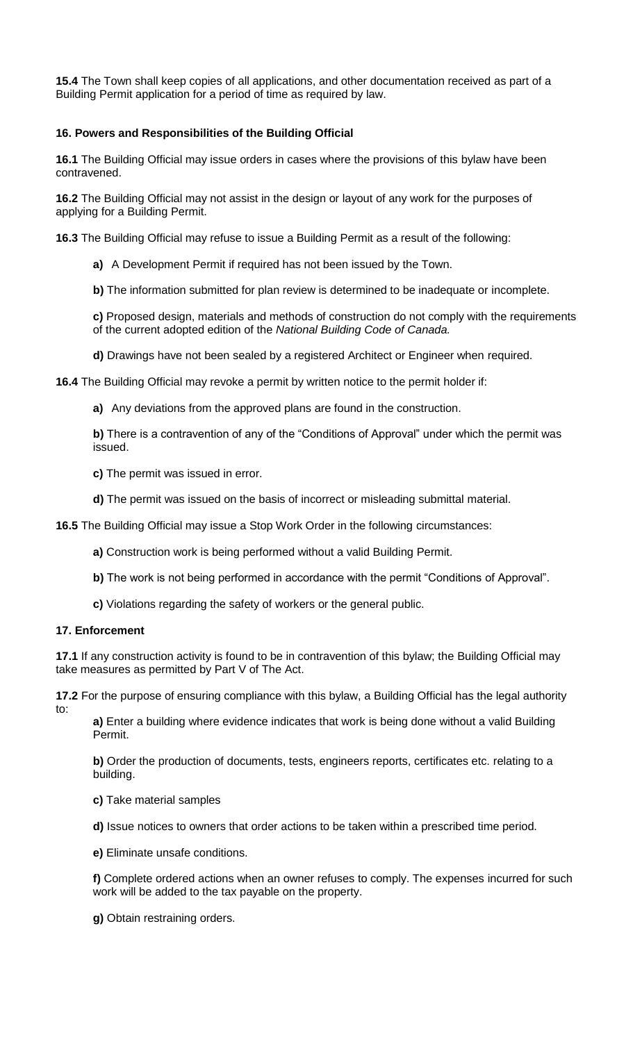**15.4** The Town shall keep copies of all applications, and other documentation received as part of a Building Permit application for a period of time as required by law.

## **16. Powers and Responsibilities of the Building Official**

**16.1** The Building Official may issue orders in cases where the provisions of this bylaw have been contravened.

**16.2** The Building Official may not assist in the design or layout of any work for the purposes of applying for a Building Permit.

**16.3** The Building Official may refuse to issue a Building Permit as a result of the following:

**a)** A Development Permit if required has not been issued by the Town.

**b)** The information submitted for plan review is determined to be inadequate or incomplete.

**c)** Proposed design, materials and methods of construction do not comply with the requirements of the current adopted edition of the *National Building Code of Canada.*

**d)** Drawings have not been sealed by a registered Architect or Engineer when required.

**16.4** The Building Official may revoke a permit by written notice to the permit holder if:

**a)** Any deviations from the approved plans are found in the construction.

**b)** There is a contravention of any of the "Conditions of Approval" under which the permit was issued.

**c)** The permit was issued in error.

**d)** The permit was issued on the basis of incorrect or misleading submittal material.

**16.5** The Building Official may issue a Stop Work Order in the following circumstances:

**a)** Construction work is being performed without a valid Building Permit.

- **b)** The work is not being performed in accordance with the permit "Conditions of Approval".
- **c)** Violations regarding the safety of workers or the general public.

#### **17. Enforcement**

**17.1** If any construction activity is found to be in contravention of this bylaw; the Building Official may take measures as permitted by Part V of The Act.

**17.2** For the purpose of ensuring compliance with this bylaw, a Building Official has the legal authority to:

**a)** Enter a building where evidence indicates that work is being done without a valid Building Permit.

**b)** Order the production of documents, tests, engineers reports, certificates etc. relating to a building.

**c)** Take material samples

**d)** Issue notices to owners that order actions to be taken within a prescribed time period.

**e)** Eliminate unsafe conditions.

**f)** Complete ordered actions when an owner refuses to comply. The expenses incurred for such work will be added to the tax payable on the property.

**g)** Obtain restraining orders.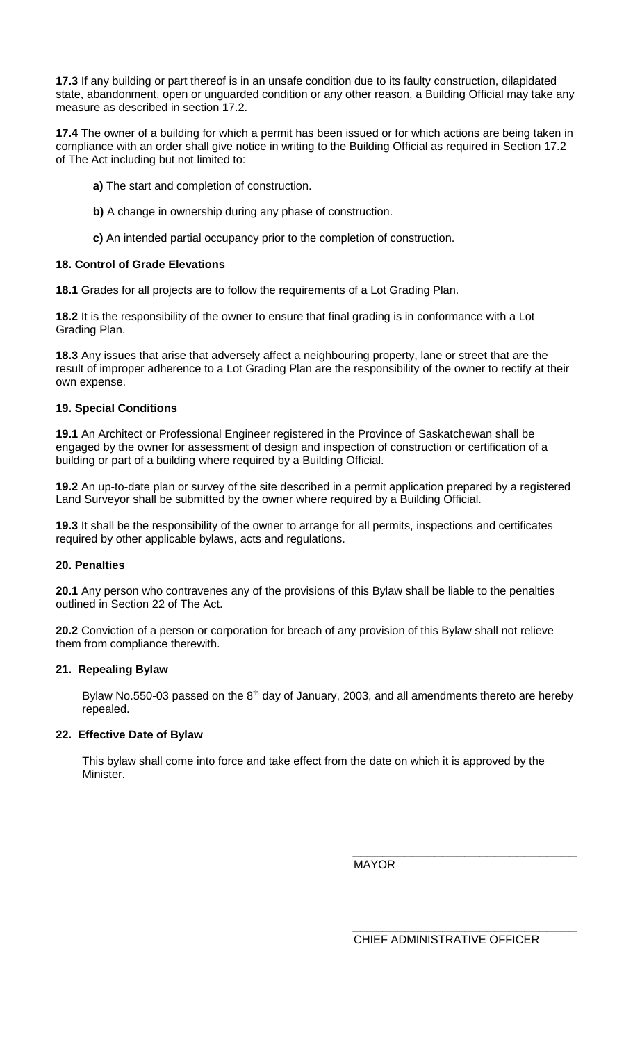**17.3** If any building or part thereof is in an unsafe condition due to its faulty construction, dilapidated state, abandonment, open or unguarded condition or any other reason, a Building Official may take any measure as described in section 17.2.

**17.4** The owner of a building for which a permit has been issued or for which actions are being taken in compliance with an order shall give notice in writing to the Building Official as required in Section 17.2 of The Act including but not limited to:

- **a)** The start and completion of construction.
- **b)** A change in ownership during any phase of construction.
- **c)** An intended partial occupancy prior to the completion of construction.

## **18. Control of Grade Elevations**

**18.1** Grades for all projects are to follow the requirements of a Lot Grading Plan.

**18.2** It is the responsibility of the owner to ensure that final grading is in conformance with a Lot Grading Plan.

**18.3** Any issues that arise that adversely affect a neighbouring property, lane or street that are the result of improper adherence to a Lot Grading Plan are the responsibility of the owner to rectify at their own expense.

## **19. Special Conditions**

**19.1** An Architect or Professional Engineer registered in the Province of Saskatchewan shall be engaged by the owner for assessment of design and inspection of construction or certification of a building or part of a building where required by a Building Official.

**19.2** An up-to-date plan or survey of the site described in a permit application prepared by a registered Land Surveyor shall be submitted by the owner where required by a Building Official.

**19.3** It shall be the responsibility of the owner to arrange for all permits, inspections and certificates required by other applicable bylaws, acts and regulations.

#### **20. Penalties**

**20.1** Any person who contravenes any of the provisions of this Bylaw shall be liable to the penalties outlined in Section 22 of The Act.

**20.2** Conviction of a person or corporation for breach of any provision of this Bylaw shall not relieve them from compliance therewith.

#### **21. Repealing Bylaw**

Bylaw No.550-03 passed on the  $8<sup>th</sup>$  day of January, 2003, and all amendments thereto are hereby repealed.

## **22. Effective Date of Bylaw**

This bylaw shall come into force and take effect from the date on which it is approved by the Minister.

MAYOR

CHIEF ADMINISTRATIVE OFFICER

\_\_\_\_\_\_\_\_\_\_\_\_\_\_\_\_\_\_\_\_\_\_\_\_\_\_\_\_\_\_

\_\_\_\_\_\_\_\_\_\_\_\_\_\_\_\_\_\_\_\_\_\_\_\_\_\_\_\_\_\_